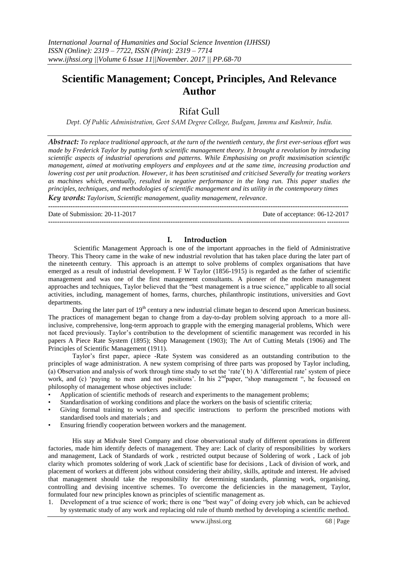# **Scientific Management; Concept, Principles, And Relevance Author**

## Rifat Gull

*Dept. Of Public Administration, Govt SAM Degree College, Budgam, Jammu and Kashmir, India.*

*Abstract: To replace traditional approach, at the turn of the twentieth century, the first ever-serious effort was made by Frederick Taylor by putting forth scientific management theory. It brought a revolution by introducing scientific aspects of industrial operations and patterns. While Emphasising on profit maximisation scientific management, aimed at motivating employers and employees and at the same time, increasing production and lowering cost per unit production. However, it has been scrutinised and criticised Severally for treating workers as machines which, eventually, resulted in negative performance in the long run. This paper studies the principles, techniques, and methodologies of scientific management and its utility in the contemporary times*

*Key words: Taylorism, Scientific management, quality management, relevance.* **---------------------------------------------------------------------------------------------------------------------------------------**

Date of Submission: 20-11-2017 Date of acceptance: 06-12-2017

### **I. Introduction**

**---------------------------------------------------------------------------------------------------------------------------------------**

Scientific Management Approach is one of the important approaches in the field of Administrative Theory. This Theory came in the wake of new industrial revolution that has taken place during the later part of the nineteenth century. This approach is an attempt to solve problems of complex organisations that have emerged as a result of industrial development. F W Taylor (1856-1915) is regarded as the father of scientific management and was one of the first management consultants. A pioneer of the modern management approaches and techniques, Taylor believed that the "best management is a true science," applicable to all social activities, including, management of homes, farms, churches, philanthropic institutions, universities and Govt departments.

During the later part of 19<sup>th</sup> century a new industrial climate began to descend upon American business. The practices of management began to change from a day-to-day problem solving approach to a more allinclusive, comprehensive, long-term approach to grapple with the emerging managerial problems, Which were not faced previously. Taylor"s contribution to the development of scientific management was recorded in his papers A Piece Rate System (1895); Shop Management (1903); The Art of Cutting Metals (1906) and The Principles of Scientific Management (1911).

Taylor"s first paper, apiece -Rate System was considered as an outstanding contribution to the principles of wage administration. A new system comprising of three parts was proposed by Taylor including, (a) Observation and analysis of work through time study to set the "rate"( b) A "differential rate" system of piece work, and (c) 'paying to men and not positions'. In his 2<sup>nd</sup>paper, "shop management", he focussed on philosophy of management whose objectives include:

- Application of scientific methods of research and experiments to the management problems;
- Standardisation of working conditions and place the workers on the basis of scientific criteria;
- Giving formal training to workers and specific instructions to perform the prescribed motions with standardised tools and materials ; and
- Ensuring friendly cooperation between workers and the management.

His stay at Midvale Steel Company and close observational study of different operations in different factories, made him identify defects of management. They are: Lack of clarity of responsibilities by workers and management, Lack of Standards of work , restricted output because of Soldering of work , Lack of job clarity which promotes soldering of work ,Lack of scientific base for decisions , Lack of division of work, and placement of workers at different jobs without considering their ability, skills, aptitude and interest. He advised that management should take the responsibility for determining standards, planning work, organising, controlling and devising incentive schemes. To overcome the deficiencies in the management, Taylor, formulated four new principles known as principles of scientific management as.

1. Development of a true science of work; there is one "best way" of doing every job which, can be achieved by systematic study of any work and replacing old rule of thumb method by developing a scientific method.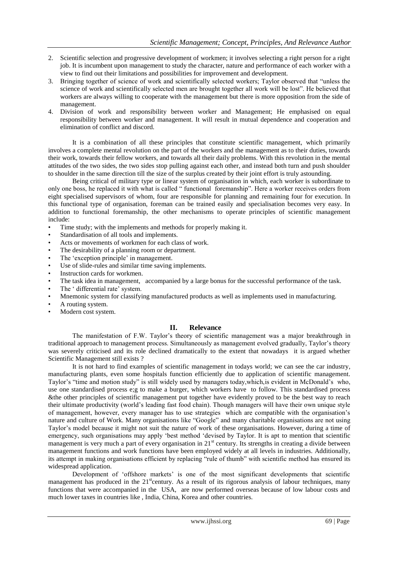- 2. Scientific selection and progressive development of workmen; it involves selecting a right person for a right job. It is incumbent upon management to study the character, nature and performance of each worker with a view to find out their limitations and possibilities for improvement and development.
- 3. Bringing together of science of work and scientifically selected workers; Taylor observed that "unless the science of work and scientifically selected men are brought together all work will be lost". He believed that workers are always willing to cooperate with the management but there is more opposition from the side of management.
- 4. Division of work and responsibility between worker and Management; He emphasised on equal responsibility between worker and management. It will result in mutual dependence and cooperation and elimination of conflict and discord.

It is a combination of all these principles that constitute scientific management, which primarily involves a complete mental revolution on the part of the workers and the management as to their duties, towards their work, towards their fellow workers, and towards all their daily problems. With this revolution in the mental attitudes of the two sides, the two sides stop pulling against each other, and instead both turn and push shoulder to shoulder in the same direction till the size of the surplus created by their joint effort is truly astounding.

Being critical of military type or linear system of organisation in which, each worker is subordinate to only one boss, he replaced it with what is called " functional foremanship". Here a worker receives orders from eight specialised supervisors of whom, four are responsible for planning and remaining four for execution. In this functional type of organisation, foreman can be trained easily and specialisation becomes very easy. In addition to functional foremanship, the other mechanisms to operate principles of scientific management include:

- Time study; with the implements and methods for properly making it.
- Standardisation of all tools and implements.
- Acts or movements of workmen for each class of work.
- The desirability of a planning room or department.
- The 'exception principle' in management.
- Use of slide-rules and similar time saving implements.
- Instruction cards for workmen.
- The task idea in management, accompanied by a large bonus for the successful performance of the task.
- The 'differential rate' system.
- Mnemonic system for classifying manufactured products as well as implements used in manufacturing.
- A routing system.
- Modern cost system.

### **II. Relevance**

The manifestation of F.W. Taylor's theory of scientific management was a major breakthrough in traditional approach to management process. Simultaneously as management evolved gradually, Taylor"s theory was severely criticised and its role declined dramatically to the extent that nowadays it is argued whether Scientific Management still exists ?

It is not hard to find examples of scientific management in todays world; we can see the car industry, manufacturing plants, even some hospitals function efficiently due to application of scientific management. Taylor"s "time and motion study" is still widely used by managers today,which,is evident in McDonald"s who, use one standardised process e;g to make a burger, which workers have to follow. This standardised process &the other principles of scientific management put together have evidently proved to be the best way to reach their ultimate productivity (world"s leading fast food chain). Though managers will have their own unique style of management, however, every manager has to use strategies which are compatible with the organisation"s nature and culture of Work. Many organisations like "Google" and many charitable organisations are not using Taylor"s model because it might not suit the nature of work of these organisations. However, during a time of emergency, such organisations may apply "best method "devised by Taylor. It is apt to mention that scientific management is very much a part of every organisation in 21<sup>st</sup> century. Its strengths in creating a divide between management functions and work functions have been employed widely at all levels in industries. Additionally, its attempt in making organisations efficient by replacing "rule of thumb" with scientific method has ensured its widespread application.

Development of "offshore markets" is one of the most significant developments that scientific management has produced in the  $21^{\text{st}}$ century. As a result of its rigorous analysis of labour techniques, many functions that were accompanied in the USA, are now performed overseas because of low labour costs and much lower taxes in countries like , India, China, Korea and other countries.